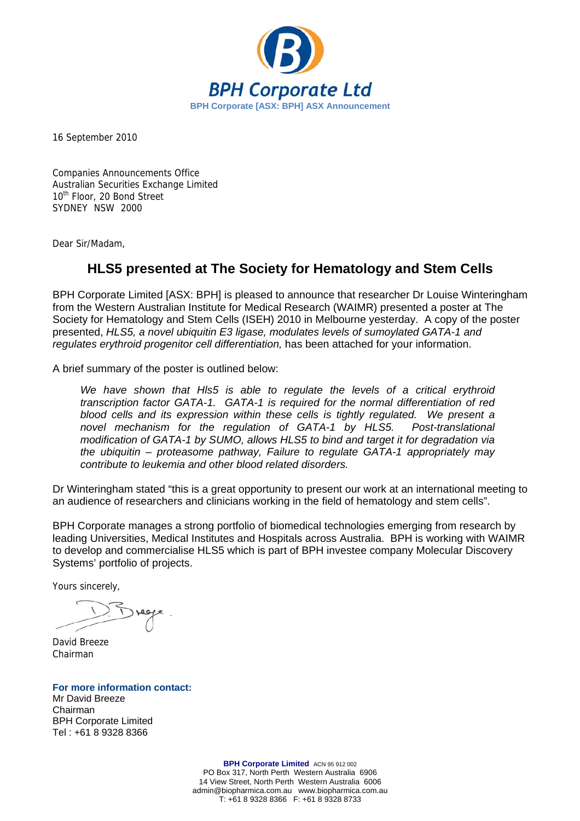

16 September 2010

Companies Announcements Office Australian Securities Exchange Limited 10<sup>th</sup> Floor, 20 Bond Street SYDNEY NSW 2000

Dear Sir/Madam,

## **HLS5 presented at The Society for Hematology and Stem Cells**

BPH Corporate Limited [ASX: BPH] is pleased to announce that researcher Dr Louise Winteringham from the Western Australian Institute for Medical Research (WAIMR) presented a poster at The Society for Hematology and Stem Cells (ISEH) 2010 in Melbourne yesterday. A copy of the poster presented, *HLS5, a novel ubiquitin E3 ligase, modulates levels of sumoylated GATA-1 and regulates erythroid progenitor cell differentiation,* has been attached for your information.

A brief summary of the poster is outlined below:

We have shown that HIs5 is able to regulate the levels of a critical erythroid *transcription factor GATA-1. GATA-1 is required for the normal differentiation of red blood cells and its expression within these cells is tightly regulated. We present a novel mechanism for the regulation of GATA-1 by HLS5. Post-translational modification of GATA-1 by SUMO, allows HLS5 to bind and target it for degradation via the ubiquitin – proteasome pathway, Failure to regulate GATA-1 appropriately may contribute to leukemia and other blood related disorders.* 

Dr Winteringham stated "this is a great opportunity to present our work at an international meeting to an audience of researchers and clinicians working in the field of hematology and stem cells".

BPH Corporate manages a strong portfolio of biomedical technologies emerging from research by leading Universities, Medical Institutes and Hospitals across Australia. BPH is working with WAIMR to develop and commercialise HLS5 which is part of BPH investee company Molecular Discovery Systems' portfolio of projects.

Yours sincerely,

David Breeze Chairman

**For more information contact:**  Mr David Breeze Chairman BPH Corporate Limited

Tel : +61 8 9328 8366

**BPH Corporate Limited** ACN 95 912 002 PO Box 317, North Perth Western Australia 6906 14 View Street, North Perth Western Australia 6006 admin@biopharmica.com.au www.biopharmica.com.au T: +61 8 9328 8366 F: +61 8 9328 8733